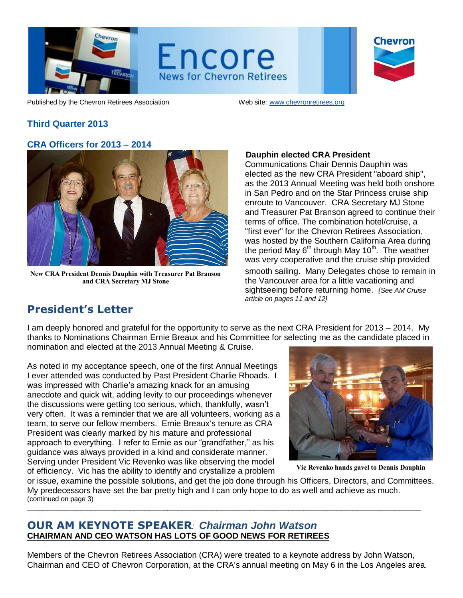

Encore **News for Chevron Retirees** 

Chevron

Published by the Chevron Retirees Association Web site: www.chevronretirees.org

# **Third Quarter 2013**

### **CRA Officers for 2013 – 2014**



**New CRA President Dennis Dauphin with Treasurer Pat Branson and CRA Secretary MJ Stone**

### **Dauphin elected CRA President**

Communications Chair Dennis Dauphin was elected as the new CRA President "aboard ship", as the 2013 Annual Meeting was held both onshore in San Pedro and on the Star Princess cruise ship enroute to Vancouver. CRA Secretary MJ Stone and Treasurer Pat Branson agreed to continue their terms of office. The combination hotel/cruise, a "first ever" for the Chevron Retirees Association, was hosted by the Southern California Area during the period May  $6<sup>th</sup>$  through May 10<sup>th</sup>. The weather was very cooperative and the cruise ship provided smooth sailing. Many Delegates chose to remain in the Vancouver area for a little vacationing and sightseeing before returning home. *{See AM Cruise article on pages 11 and 12}*

# **President's Letter**

I am deeply honored and grateful for the opportunity to serve as the next CRA President for 2013 – 2014. My thanks to Nominations Chairman Ernie Breaux and his Committee for selecting me as the candidate placed in nomination and elected at the 2013 Annual Meeting & Cruise.

As noted in my acceptance speech, one of the first Annual Meetings I ever attended was conducted by Past President Charlie Rhoads. I was impressed with Charlie's amazing knack for an amusing anecdote and quick wit, adding levity to our proceedings whenever the discussions were getting too serious, which, thankfully, wasn't very often. It was a reminder that we are all volunteers, working as a team, to serve our fellow members. Ernie Breaux's tenure as CRA President was clearly marked by his mature and professional approach to everything. I refer to Ernie as our "grandfather," as his guidance was always provided in a kind and considerate manner. Serving under President Vic Revenko was like observing the model of efficiency. Vic has the ability to identify and crystallize a problem



**Vic Revenko hands gavel to Dennis Dauphin**

or issue, examine the possible solutions, and get the job done through his Officers, Directors, and Committees. My predecessors have set the bar pretty high and I can only hope to do as well and achieve as much. (continued on page 3) \_\_\_\_\_\_\_\_\_\_\_\_\_\_\_\_\_\_\_\_\_\_\_\_\_\_\_\_\_\_\_\_\_\_\_\_\_\_\_\_\_\_\_\_\_\_\_\_\_\_\_\_\_\_\_\_\_\_\_\_\_\_\_\_\_\_\_\_\_\_\_\_\_\_\_\_\_\_\_\_\_\_\_\_\_\_\_\_\_\_\_\_\_\_\_\_\_\_\_\_\_\_\_\_

# **OUR AM KEYNOTE SPEAKER***: Chairman John Watson* **CHAIRMAN AND CEO WATSON HAS LOTS OF GOOD NEWS FOR RETIREES**

Members of the Chevron Retirees Association (CRA) were treated to a keynote address by John Watson, Chairman and CEO of Chevron Corporation, at the CRA's annual meeting on May 6 in the Los Angeles area.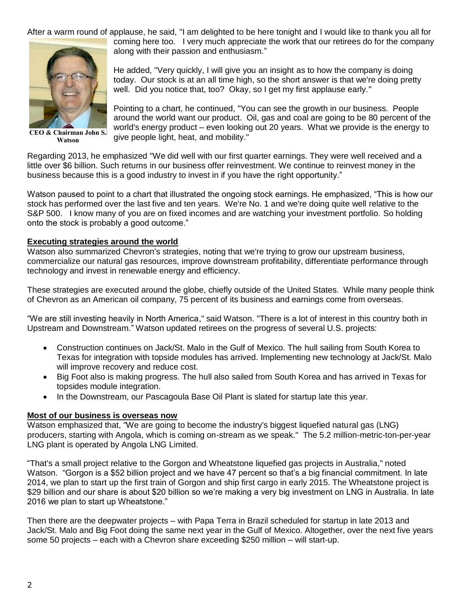After a warm round of applause, he said, "I am delighted to be here tonight and I would like to thank you all for



**CEO & Chairman John S. Watson**

coming here too. I very much appreciate the work that our retirees do for the company along with their passion and enthusiasm."

He added, "Very quickly, I will give you an insight as to how the company is doing today. Our stock is at an all time high, so the short answer is that we're doing pretty well. Did you notice that, too? Okay, so I get my first applause early."

Pointing to a chart, he continued, "You can see the growth in our business. People around the world want our product. Oil, gas and coal are going to be 80 percent of the world's energy product – even looking out 20 years. What we provide is the energy to give people light, heat, and mobility."

Regarding 2013, he emphasized "We did well with our first quarter earnings. They were well received and a little over \$6 billion. Such returns in our business offer reinvestment. We continue to reinvest money in the business because this is a good industry to invest in if you have the right opportunity."

Watson paused to point to a chart that illustrated the ongoing stock earnings. He emphasized, "This is how our stock has performed over the last five and ten years. We're No. 1 and we're doing quite well relative to the S&P 500. I know many of you are on fixed incomes and are watching your investment portfolio. So holding onto the stock is probably a good outcome."

#### **Executing strategies around the world**

Watson also summarized Chevron's strategies, noting that we're trying to grow our upstream business, commercialize our natural gas resources, improve downstream profitability, differentiate performance through technology and invest in renewable energy and efficiency.

These strategies are executed around the globe, chiefly outside of the United States. While many people think of Chevron as an American oil company, 75 percent of its business and earnings come from overseas.

"We are still investing heavily in North America," said Watson. "There is a lot of interest in this country both in Upstream and Downstream." Watson updated retirees on the progress of several U.S. projects:

- Construction continues on Jack/St. Malo in the Gulf of Mexico. The hull sailing from South Korea to Texas for integration with topside modules has arrived. Implementing new technology at Jack/St. Malo will improve recovery and reduce cost.
- Big Foot also is making progress. The hull also sailed from South Korea and has arrived in Texas for topsides module integration.
- In the Downstream, our Pascagoula Base Oil Plant is slated for startup late this year.

#### **Most of our business is overseas now**

Watson emphasized that, "We are going to become the industry's biggest liquefied natural gas (LNG) producers, starting with Angola, which is coming on-stream as we speak." The 5.2 million-metric-ton-per-year LNG plant is operated by Angola LNG Limited.

"That's a small project relative to the Gorgon and Wheatstone liquefied gas projects in Australia," noted Watson. "Gorgon is a \$52 billion project and we have 47 percent so that's a big financial commitment. In late 2014, we plan to start up the first train of Gorgon and ship first cargo in early 2015. The Wheatstone project is \$29 billion and our share is about \$20 billion so we're making a very big investment on LNG in Australia. In late 2016 we plan to start up Wheatstone."

Then there are the deepwater projects – with Papa Terra in Brazil scheduled for startup in late 2013 and Jack/St. Malo and Big Foot doing the same next year in the Gulf of Mexico. Altogether, over the next five years some 50 projects – each with a Chevron share exceeding \$250 million – will start-up.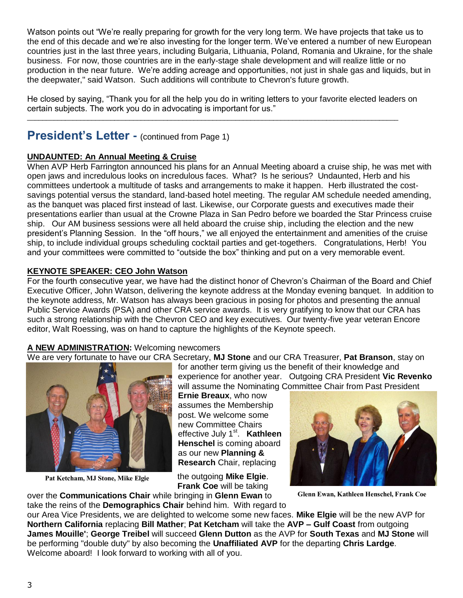Watson points out "We're really preparing for growth for the very long term. We have projects that take us to the end of this decade and we're also investing for the longer term. We've entered a number of new European countries just in the last three years, including Bulgaria, Lithuania, Poland, Romania and Ukraine, for the shale business. For now, those countries are in the early-stage shale development and will realize little or no production in the near future. We're adding acreage and opportunities, not just in shale gas and liquids, but in the deepwater," said Watson. Such additions will contribute to Chevron's future growth.

He closed by saying, "Thank you for all the help you do in writing letters to your favorite elected leaders on certain subjects. The work you do in advocating is important for us."

 $\mathcal{L}_\mathcal{L} = \{ \mathcal{L}_\mathcal{L} = \{ \mathcal{L}_\mathcal{L} = \{ \mathcal{L}_\mathcal{L} = \{ \mathcal{L}_\mathcal{L} = \{ \mathcal{L}_\mathcal{L} = \{ \mathcal{L}_\mathcal{L} = \{ \mathcal{L}_\mathcal{L} = \{ \mathcal{L}_\mathcal{L} = \{ \mathcal{L}_\mathcal{L} = \{ \mathcal{L}_\mathcal{L} = \{ \mathcal{L}_\mathcal{L} = \{ \mathcal{L}_\mathcal{L} = \{ \mathcal{L}_\mathcal{L} = \{ \mathcal{L}_\mathcal{$ 

# **President's Letter - (continued from Page 1)**

## **UNDAUNTED: An Annual Meeting & Cruise**

When AVP Herb Farrington announced his plans for an Annual Meeting aboard a cruise ship, he was met with open jaws and incredulous looks on incredulous faces. What? Is he serious? Undaunted, Herb and his committees undertook a multitude of tasks and arrangements to make it happen. Herb illustrated the costsavings potential versus the standard, land-based hotel meeting. The regular AM schedule needed amending, as the banquet was placed first instead of last. Likewise, our Corporate guests and executives made their presentations earlier than usual at the Crowne Plaza in San Pedro before we boarded the Star Princess cruise ship. Our AM business sessions were all held aboard the cruise ship, including the election and the new president's Planning Session. In the "off hours," we all enjoyed the entertainment and amenities of the cruise ship, to include individual groups scheduling cocktail parties and get-togethers. Congratulations, Herb! You and your committees were committed to "outside the box" thinking and put on a very memorable event.

### **KEYNOTE SPEAKER: CEO John Watson**

For the fourth consecutive year, we have had the distinct honor of Chevron's Chairman of the Board and Chief Executive Officer, John Watson, delivering the keynote address at the Monday evening banquet. In addition to the keynote address, Mr. Watson has always been gracious in posing for photos and presenting the annual Public Service Awards (PSA) and other CRA service awards. It is very gratifying to know that our CRA has such a strong relationship with the Chevron CEO and key executives. Our twenty-five year veteran Encore editor, Walt Roessing, was on hand to capture the highlights of the Keynote speech.

#### **A NEW ADMINISTRATION:** Welcoming newcomers

We are very fortunate to have our CRA Secretary, **MJ Stone** and our CRA Treasurer, **Pat Branson**, stay on



**Pat Ketcham, MJ Stone, Mike Elgie**

for another term giving us the benefit of their knowledge and experience for another year. Outgoing CRA President **Vic Revenko** will assume the Nominating Committee Chair from Past President

**Ernie Breaux**, who now assumes the Membership post. We welcome some new Committee Chairs effective July 1<sup>st</sup>. Kathleen **Henschel** is coming aboard as our new **Planning & Research** Chair, replacing

the outgoing **Mike Elgie**. **Frank Coe** will be taking over the **Communications Chair** while bringing in **Glenn Ewan** to



**Glenn Ewan, Kathleen Henschel, Frank Coe**

take the reins of the **Demographics Chair** behind him. With regard to our Area Vice Presidents, we are delighted to welcome some new faces. **Mike Elgie** will be the new AVP for **Northern California** replacing **Bill Mather**; **Pat Ketcham** will take the **AVP – Gulf Coast** from outgoing **James Mouille'**; **George Treibel** will succeed **Glenn Dutton** as the AVP for **South Texas** and **MJ Stone** will

be performing "double duty" by also becoming the **Unaffiliated AVP** for the departing **Chris Lardge**. Welcome aboard! I look forward to working with all of you.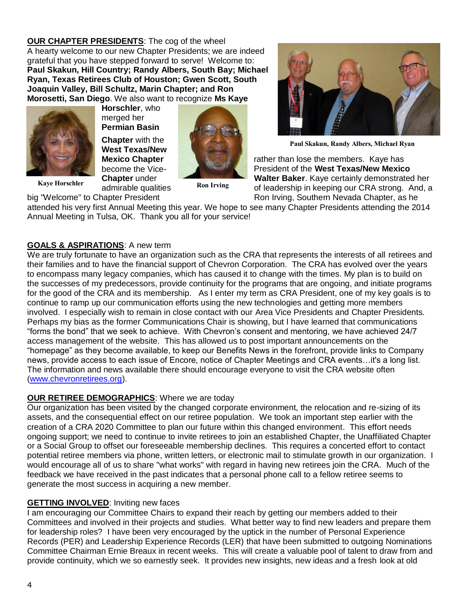**OUR CHAPTER PRESIDENTS**: The cog of the wheel A hearty welcome to our new Chapter Presidents; we are indeed grateful that you have stepped forward to serve!Welcome to: **Paul Skakun, Hill Country; Randy Albers, South Bay; Michael Ryan, Texas Retirees Club of Houston; Gwen Scott, South Joaquin Valley, Bill Schultz, Marin Chapter; and Ron Morosetti, San Diego**. We also want to recognize **Ms Kaye** 



**Kaye Horschler Chapter** drider<br>admirable qualities

**Horschler**, who merged her **Permian Basin Chapter** with the **West Texas/New** 





**Paul Skakun, Randy Albers, Michael Ryan**

**Mexico Chapter Research 1999 rather than lose the members. Kaye has** become the Vice- President of the **West Texas/New Mexico Chapter** under **Walter Baker**. Kaye certainly demonstrated her of leadership in keeping our CRA strong. And, a big "Welcome" to Chapter President **Ron Irving, Southern Nevada Chapter**, as he

attended his very first Annual Meeting this year. We hope to see many Chapter Presidents attending the 2014 Annual Meeting in Tulsa, OK. Thank you all for your service!

#### **GOALS & ASPIRATIONS**: A new term

We are truly fortunate to have an organization such as the CRA that represents the interests of all retirees and their families and to have the financial support of Chevron Corporation. The CRA has evolved over the years to encompass many legacy companies, which has caused it to change with the times. My plan is to build on the successes of my predecessors, provide continuity for the programs that are ongoing, and initiate programs for the good of the CRA and its membership. As I enter my term as CRA President, one of my key goals is to continue to ramp up our communication efforts using the new technologies and getting more members involved. I especially wish to remain in close contact with our Area Vice Presidents and Chapter Presidents. Perhaps my bias as the former Communications Chair is showing, but I have learned that communications "forms the bond" that we seek to achieve. With Chevron's consent and mentoring, we have achieved 24/7 access management of the website. This has allowed us to post important announcements on the "homepage" as they become available, to keep our Benefits News in the forefront, provide links to Company news, provide access to each issue of Encore, notice of Chapter Meetings and CRA events…it's a long list. The information and news available there should encourage everyone to visit the CRA website often [\(www.chevronretirees.org\)](http://www.chevronretirees.org/).

#### **OUR RETIREE DEMOGRAPHICS:** Where we are today

Our organization has been visited by the changed corporate environment, the relocation and re-sizing of its assets, and the consequential effect on our retiree population. We took an important step earlier with the creation of a CRA 2020 Committee to plan our future within this changed environment. This effort needs ongoing support; we need to continue to invite retirees to join an established Chapter, the Unaffiliated Chapter or a Social Group to offset our foreseeable membership declines. This requires a concerted effort to contact potential retiree members via phone, written letters, or electronic mail to stimulate growth in our organization. I would encourage all of us to share "what works" with regard in having new retirees join the CRA. Much of the feedback we have received in the past indicates that a personal phone call to a fellow retiree seems to generate the most success in acquiring a new member.

#### **GETTING INVOLVED**: Inviting new faces

I am encouraging our Committee Chairs to expand their reach by getting our members added to their Committees and involved in their projects and studies. What better way to find new leaders and prepare them for leadership roles? I have been very encouraged by the uptick in the number of Personal Experience Records (PER) and Leadership Experience Records (LER) that have been submitted to outgoing Nominations Committee Chairman Ernie Breaux in recent weeks. This will create a valuable pool of talent to draw from and provide continuity, which we so earnestly seek. It provides new insights, new ideas and a fresh look at old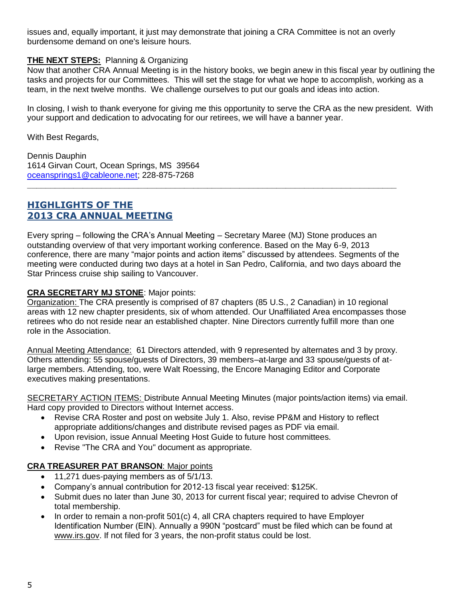issues and, equally important, it just may demonstrate that joining a CRA Committee is not an overly burdensome demand on one's leisure hours.

### **THE NEXT STEPS:** Planning & Organizing

Now that another CRA Annual Meeting is in the history books, we begin anew in this fiscal year by outlining the tasks and projects for our Committees. This will set the stage for what we hope to accomplish, working as a team, in the next twelve months. We challenge ourselves to put our goals and ideas into action.

In closing, I wish to thank everyone for giving me this opportunity to serve the CRA as the new president. With your support and dedication to advocating for our retirees, we will have a banner year.

With Best Regards,

Dennis Dauphin 1614 Girvan Court, Ocean Springs, MS 39564 [oceansprings1@cableone.net;](mailto:oceansprings1@cableone.net) 228-875-7268

# **HIGHLIGHTS OF THE 2013 CRA ANNUAL MEETING**

Every spring – following the CRA's Annual Meeting – Secretary Maree (MJ) Stone produces an outstanding overview of that very important working conference. Based on the May 6-9, 2013 conference, there are many "major points and action items" discussed by attendees. Segments of the meeting were conducted during two days at a hotel in San Pedro, California, and two days aboard the Star Princess cruise ship sailing to Vancouver.

**\_\_\_\_\_\_\_\_\_\_\_\_\_\_\_\_\_\_\_\_\_\_\_\_\_\_\_\_\_\_\_\_\_\_\_\_\_\_\_\_\_\_\_\_\_\_\_\_\_\_\_\_\_\_\_\_\_\_\_\_\_\_\_\_\_\_\_\_\_\_\_\_\_\_\_\_\_\_\_\_**

### **CRA SECRETARY MJ STONE**: Major points:

Organization: The CRA presently is comprised of 87 chapters (85 U.S., 2 Canadian) in 10 regional areas with 12 new chapter presidents, six of whom attended. Our Unaffiliated Area encompasses those retirees who do not reside near an established chapter. Nine Directors currently fulfill more than one role in the Association.

Annual Meeting Attendance: 61 Directors attended, with 9 represented by alternates and 3 by proxy. Others attending: 55 spouse/guests of Directors, 39 members–at-large and 33 spouse/guests of atlarge members. Attending, too, were Walt Roessing, the Encore Managing Editor and Corporate executives making presentations.

SECRETARY ACTION ITEMS: Distribute Annual Meeting Minutes (major points/action items) via email. Hard copy provided to Directors without Internet access.

- Revise CRA Roster and post on website July 1. Also, revise PP&M and History to reflect appropriate additions/changes and distribute revised pages as PDF via email.
- Upon revision, issue Annual Meeting Host Guide to future host committees.
- Revise "The CRA and You" document as appropriate.

#### **CRA TREASURER PAT BRANSON**: Major points

- 11,271 dues-paying members as of 5/1/13.
- Company's annual contribution for 2012-13 fiscal year received: \$125K.
- Submit dues no later than June 30, 2013 for current fiscal year; required to advise Chevron of total membership.
- $\bullet$  In order to remain a non-profit 501(c) 4, all CRA chapters required to have Employer Identification Number (EIN). Annually a 990N "postcard" must be filed which can be found at [www.irs.gov.](http://www.irs.gov/) If not filed for 3 years, the non-profit status could be lost.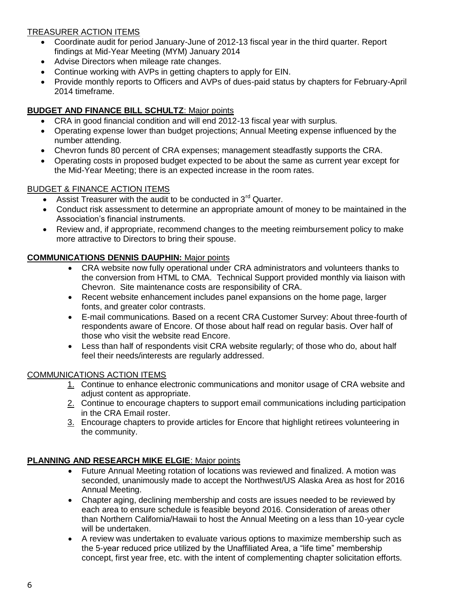## TREASURER ACTION ITEMS

- Coordinate audit for period January-June of 2012-13 fiscal year in the third quarter. Report findings at Mid-Year Meeting (MYM) January 2014
- Advise Directors when mileage rate changes.
- Continue working with AVPs in getting chapters to apply for EIN.
- Provide monthly reports to Officers and AVPs of dues-paid status by chapters for February-April 2014 timeframe.

## **BUDGET AND FINANCE BILL SCHULTZ**: Major points

- CRA in good financial condition and will end 2012-13 fiscal year with surplus.
- Operating expense lower than budget projections; Annual Meeting expense influenced by the number attending.
- Chevron funds 80 percent of CRA expenses; management steadfastly supports the CRA.
- Operating costs in proposed budget expected to be about the same as current year except for the Mid-Year Meeting; there is an expected increase in the room rates.

### BUDGET & FINANCE ACTION ITEMS

- Assist Treasurer with the audit to be conducted in  $3<sup>rd</sup>$  Quarter.
- Conduct risk assessment to determine an appropriate amount of money to be maintained in the Association's financial instruments.
- Review and, if appropriate, recommend changes to the meeting reimbursement policy to make more attractive to Directors to bring their spouse.

## **COMMUNICATIONS DENNIS DAUPHIN:** Major points

- CRA website now fully operational under CRA administrators and volunteers thanks to the conversion from HTML to CMA. Technical Support provided monthly via liaison with Chevron. Site maintenance costs are responsibility of CRA.
- Recent website enhancement includes panel expansions on the home page, larger fonts, and greater color contrasts.
- E-mail communications. Based on a recent CRA Customer Survey: About three-fourth of respondents aware of Encore. Of those about half read on regular basis. Over half of those who visit the website read Encore.
- Less than half of respondents visit CRA website regularly; of those who do, about half feel their needs/interests are regularly addressed.

#### COMMUNICATIONS ACTION ITEMS

- 1. Continue to enhance electronic communications and monitor usage of CRA website and adjust content as appropriate.
- 2. Continue to encourage chapters to support email communications including participation in the CRA Email roster.
- 3. Encourage chapters to provide articles for Encore that highlight retirees volunteering in the community.

#### **PLANNING AND RESEARCH MIKE ELGIE**: Major points

- Future Annual Meeting rotation of locations was reviewed and finalized. A motion was seconded, unanimously made to accept the Northwest/US Alaska Area as host for 2016 Annual Meeting.
- Chapter aging, declining membership and costs are issues needed to be reviewed by each area to ensure schedule is feasible beyond 2016. Consideration of areas other than Northern California/Hawaii to host the Annual Meeting on a less than 10-year cycle will be undertaken.
- A review was undertaken to evaluate various options to maximize membership such as the 5-year reduced price utilized by the Unaffiliated Area, a "life time" membership concept, first year free, etc. with the intent of complementing chapter solicitation efforts.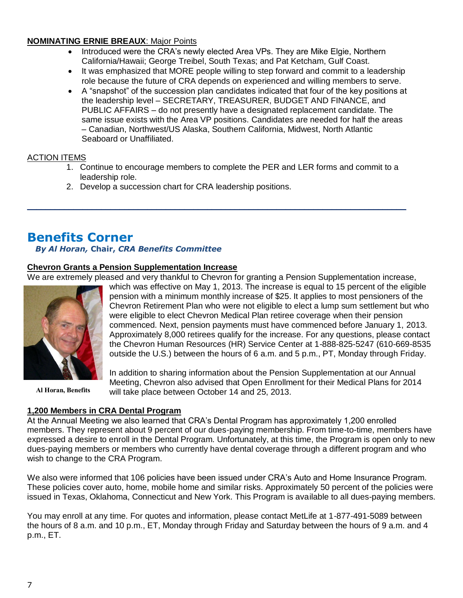#### **NOMINATING ERNIE BREAUX**: Major Points

- Introduced were the CRA's newly elected Area VPs. They are Mike Elgie, Northern California/Hawaii; George Treibel, South Texas; and Pat Ketcham, Gulf Coast.
- It was emphasized that MORE people willing to step forward and commit to a leadership role because the future of CRA depends on experienced and willing members to serve.
- A "snapshot" of the succession plan candidates indicated that four of the key positions at the leadership level – SECRETARY, TREASURER, BUDGET AND FINANCE, and PUBLIC AFFAIRS – do not presently have a designated replacement candidate. The same issue exists with the Area VP positions. Candidates are needed for half the areas – Canadian, Northwest/US Alaska, Southern California, Midwest, North Atlantic Seaboard or Unaffiliated.

### ACTION ITEMS

- 1. Continue to encourage members to complete the PER and LER forms and commit to a leadership role.
- 2. Develop a succession chart for CRA leadership positions.

# **Benefits Corner**

## *By Al Horan,* **Chair,** *CRA Benefits Committee*

### **Chevron Grants a Pension Supplementation Increase**

We are extremely pleased and very thankful to Chevron for granting a Pension Supplementation increase, which was effective on May 1, 2013. The increase is equal to 15 percent of the eligible

\_\_\_\_\_\_\_\_\_\_\_\_\_\_\_\_\_\_\_\_\_\_\_\_\_\_\_\_\_\_\_\_\_\_\_\_\_\_\_\_\_\_\_\_\_\_\_\_\_\_\_\_\_\_\_\_\_\_\_\_\_\_\_\_\_\_\_\_\_\_\_\_\_\_\_\_\_\_\_\_\_\_



**Al Horan, Benefits**

In addition to sharing information about the Pension Supplementation at our Annual Meeting, Chevron also advised that Open Enrollment for their Medical Plans for 2014 will take place between October 14 and 25, 2013.

pension with a minimum monthly increase of \$25. It applies to most pensioners of the Chevron Retirement Plan who were not eligible to elect a lump sum settlement but who

commenced. Next, pension payments must have commenced before January 1, 2013. Approximately 8,000 retirees qualify for the increase. For any questions, please contact the Chevron Human Resources (HR) Service Center at 1-888-825-5247 (610-669-8535 outside the U.S.) between the hours of 6 a.m. and 5 p.m., PT, Monday through Friday.

were eligible to elect Chevron Medical Plan retiree coverage when their pension

#### **1,200 Members in CRA Dental Program**

At the Annual Meeting we also learned that CRA's Dental Program has approximately 1,200 enrolled members. They represent about 9 percent of our dues-paying membership. From time-to-time, members have expressed a desire to enroll in the Dental Program. Unfortunately, at this time, the Program is open only to new dues-paying members or members who currently have dental coverage through a different program and who wish to change to the CRA Program.

We also were informed that 106 policies have been issued under CRA's Auto and Home Insurance Program. These policies cover auto, home, mobile home and similar risks. Approximately 50 percent of the policies were issued in Texas, Oklahoma, Connecticut and New York. This Program is available to all dues-paying members.

You may enroll at any time. For quotes and information, please contact MetLife at 1-877-491-5089 between the hours of 8 a.m. and 10 p.m., ET, Monday through Friday and Saturday between the hours of 9 a.m. and 4 p.m., ET.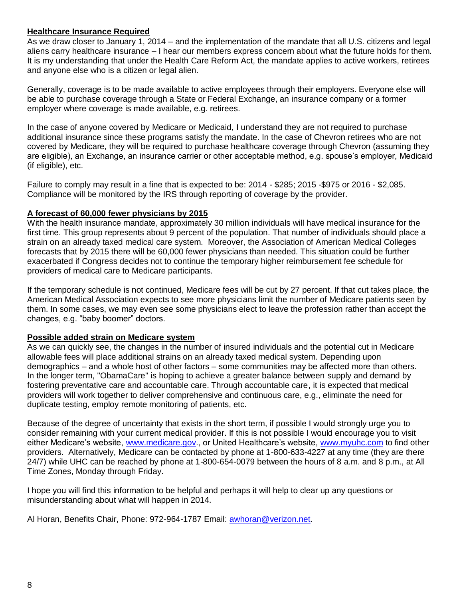#### **Healthcare Insurance Required**

As we draw closer to January 1, 2014 – and the implementation of the mandate that all U.S. citizens and legal aliens carry healthcare insurance – I hear our members express concern about what the future holds for them. It is my understanding that under the Health Care Reform Act, the mandate applies to active workers, retirees and anyone else who is a citizen or legal alien.

Generally, coverage is to be made available to active employees through their employers. Everyone else will be able to purchase coverage through a State or Federal Exchange, an insurance company or a former employer where coverage is made available, e.g. retirees.

In the case of anyone covered by Medicare or Medicaid, I understand they are not required to purchase additional insurance since these programs satisfy the mandate. In the case of Chevron retirees who are not covered by Medicare, they will be required to purchase healthcare coverage through Chevron (assuming they are eligible), an Exchange, an insurance carrier or other acceptable method, e.g. spouse's employer, Medicaid (if eligible), etc.

Failure to comply may result in a fine that is expected to be: 2014 - \$285; 2015 -\$975 or 2016 - \$2,085. Compliance will be monitored by the IRS through reporting of coverage by the provider.

#### **A forecast of 60,000 fewer physicians by 2015**

With the health insurance mandate, approximately 30 million individuals will have medical insurance for the first time. This group represents about 9 percent of the population. That number of individuals should place a strain on an already taxed medical care system. Moreover, the Association of American Medical Colleges forecasts that by 2015 there will be 60,000 fewer physicians than needed. This situation could be further exacerbated if Congress decides not to continue the temporary higher reimbursement fee schedule for providers of medical care to Medicare participants.

If the temporary schedule is not continued, Medicare fees will be cut by 27 percent. If that cut takes place, the American Medical Association expects to see more physicians limit the number of Medicare patients seen by them. In some cases, we may even see some physicians elect to leave the profession rather than accept the changes, e.g. "baby boomer" doctors.

#### **Possible added strain on Medicare system**

As we can quickly see, the changes in the number of insured individuals and the potential cut in Medicare allowable fees will place additional strains on an already taxed medical system. Depending upon demographics – and a whole host of other factors – some communities may be affected more than others. In the longer term, "ObamaCare" is hoping to achieve a greater balance between supply and demand by fostering preventative care and accountable care. Through accountable care, it is expected that medical providers will work together to deliver comprehensive and continuous care, e.g., eliminate the need for duplicate testing, employ remote monitoring of patients, etc.

Because of the degree of uncertainty that exists in the short term, if possible I would strongly urge you to consider remaining with your current medical provider. If this is not possible I would encourage you to visit either Medicare's website, [www.medicare.gov.](http://www.medicare.govde/), or United Healthcare's website, [www.myuhc.com](http://www.myuhc.com/) to find other providers. Alternatively, Medicare can be contacted by phone at 1-800-633-4227 at any time (they are there 24/7) while UHC can be reached by phone at 1-800-654-0079 between the hours of 8 a.m. and 8 p.m., at All Time Zones, Monday through Friday.

I hope you will find this information to be helpful and perhaps it will help to clear up any questions or misunderstanding about what will happen in 2014.

Al Horan, Benefits Chair, Phone: 972-964-1787 Email: [awhoran@verizon.net.](mailto:awhoran@verizon.net)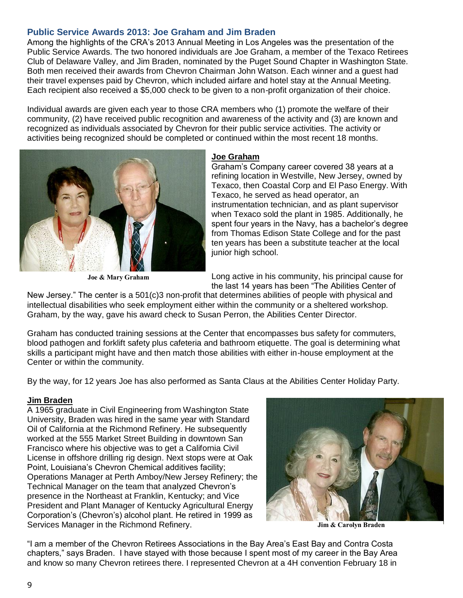## **Public Service Awards 2013: Joe Graham and Jim Braden**

Among the highlights of the CRA's 2013 Annual Meeting in Los Angeles was the presentation of the Public Service Awards. The two honored individuals are Joe Graham, a member of the Texaco Retirees Club of Delaware Valley, and Jim Braden, nominated by the Puget Sound Chapter in Washington State. Both men received their awards from Chevron Chairman John Watson. Each winner and a guest had their travel expenses paid by Chevron, which included airfare and hotel stay at the Annual Meeting. Each recipient also received a \$5,000 check to be given to a non-profit organization of their choice.

Individual awards are given each year to those CRA members who (1) promote the welfare of their community, (2) have received public recognition and awareness of the activity and (3) are known and recognized as individuals associated by Chevron for their public service activities. The activity or activities being recognized should be completed or continued within the most recent 18 months.



**Joe & Mary Graham**

#### **Joe Graham**

Graham's Company career covered 38 years at a refining location in Westville, New Jersey, owned by Texaco, then Coastal Corp and El Paso Energy. With Texaco, he served as head operator, an instrumentation technician, and as plant supervisor when Texaco sold the plant in 1985. Additionally, he spent four years in the Navy, has a bachelor's degree from Thomas Edison State College and for the past ten years has been a substitute teacher at the local junior high school.

Long active in his community, his principal cause for the last 14 years has been "The Abilities Center of

New Jersey." The center is a 501(c)3 non-profit that determines abilities of people with physical and intellectual disabilities who seek employment either within the community or a sheltered workshop. Graham, by the way, gave his award check to Susan Perron, the Abilities Center Director.

Graham has conducted training sessions at the Center that encompasses bus safety for commuters, blood pathogen and forklift safety plus cafeteria and bathroom etiquette. The goal is determining what skills a participant might have and then match those abilities with either in-house employment at the Center or within the community.

By the way, for 12 years Joe has also performed as Santa Claus at the Abilities Center Holiday Party.

#### **Jim Braden**

A 1965 graduate in Civil Engineering from Washington State University, Braden was hired in the same year with Standard Oil of California at the Richmond Refinery. He subsequently worked at the 555 Market Street Building in downtown San Francisco where his objective was to get a California Civil License in offshore drilling rig design. Next stops were at Oak Point, Louisiana's Chevron Chemical additives facility; Operations Manager at Perth Amboy/New Jersey Refinery; the Technical Manager on the team that analyzed Chevron's presence in the Northeast at Franklin, Kentucky; and Vice President and Plant Manager of Kentucky Agricultural Energy Corporation's (Chevron's) alcohol plant. He retired in 1999 as Services Manager in the Richmond Refinery.



**Jim & Carolyn Braden**

"I am a member of the Chevron Retirees Associations in the Bay Area's East Bay and Contra Costa chapters," says Braden. I have stayed with those because I spent most of my career in the Bay Area and know so many Chevron retirees there. I represented Chevron at a 4H convention February 18 in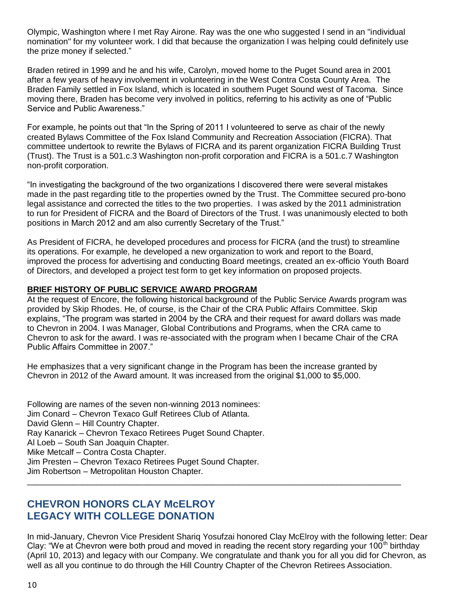Olympic, Washington where I met Ray Airone. Ray was the one who suggested I send in an "individual nomination" for my volunteer work. I did that because the organization I was helping could definitely use the prize money if selected."

Braden retired in 1999 and he and his wife, Carolyn, moved home to the Puget Sound area in 2001 after a few years of heavy involvement in volunteering in the West Contra Costa County Area. The Braden Family settled in Fox Island, which is located in southern Puget Sound west of Tacoma. Since moving there, Braden has become very involved in politics, referring to his activity as one of "Public Service and Public Awareness."

For example, he points out that "In the Spring of 2011 I volunteered to serve as chair of the newly created Bylaws Committee of the Fox Island Community and Recreation Association (FICRA). That committee undertook to rewrite the Bylaws of FICRA and its parent organization FICRA Building Trust (Trust). The Trust is a 501.c.3 Washington non-profit corporation and FICRA is a 501.c.7 Washington non-profit corporation.

"In investigating the background of the two organizations I discovered there were several mistakes made in the past regarding title to the properties owned by the Trust. The Committee secured pro-bono legal assistance and corrected the titles to the two properties. I was asked by the 2011 administration to run for President of FICRA and the Board of Directors of the Trust. I was unanimously elected to both positions in March 2012 and am also currently Secretary of the Trust."

As President of FICRA, he developed procedures and process for FICRA (and the trust) to streamline its operations. For example, he developed a new organization to work and report to the Board, improved the process for advertising and conducting Board meetings, created an ex-officio Youth Board of Directors, and developed a project test form to get key information on proposed projects.

#### **BRIEF HISTORY OF PUBLIC SERVICE AWARD PROGRAM**

At the request of Encore, the following historical background of the Public Service Awards program was provided by Skip Rhodes. He, of course, is the Chair of the CRA Public Affairs Committee. Skip explains, "The program was started in 2004 by the CRA and their request for award dollars was made to Chevron in 2004. I was Manager, Global Contributions and Programs, when the CRA came to Chevron to ask for the award. I was re-associated with the program when I became Chair of the CRA Public Affairs Committee in 2007."

He emphasizes that a very significant change in the Program has been the increase granted by Chevron in 2012 of the Award amount. It was increased from the original \$1,000 to \$5,000.

Following are names of the seven non-winning 2013 nominees: Jim Conard – Chevron Texaco Gulf Retirees Club of Atlanta. David Glenn – Hill Country Chapter. Ray Kanarick – Chevron Texaco Retirees Puget Sound Chapter. Al Loeb – South San Joaquin Chapter. Mike Metcalf – Contra Costa Chapter. Jim Presten – Chevron Texaco Retirees Puget Sound Chapter. Jim Robertson – Metropolitan Houston Chapter.

# **CHEVRON HONORS CLAY McELROY LEGACY WITH COLLEGE DONATION**

In mid-January, Chevron Vice President Shariq Yosufzai honored Clay McElroy with the following letter: Dear Clay: "We at Chevron were both proud and moved in reading the recent story regarding your 100<sup>th</sup> birthday (April 10, 2013) and legacy with our Company. We congratulate and thank you for all you did for Chevron, as well as all you continue to do through the Hill Country Chapter of the Chevron Retirees Association.

\_\_\_\_\_\_\_\_\_\_\_\_\_\_\_\_\_\_\_\_\_\_\_\_\_\_\_\_\_\_\_\_\_\_\_\_\_\_\_\_\_\_\_\_\_\_\_\_\_\_\_\_\_\_\_\_\_\_\_\_\_\_\_\_\_\_\_\_\_\_\_\_\_\_\_\_\_\_\_\_\_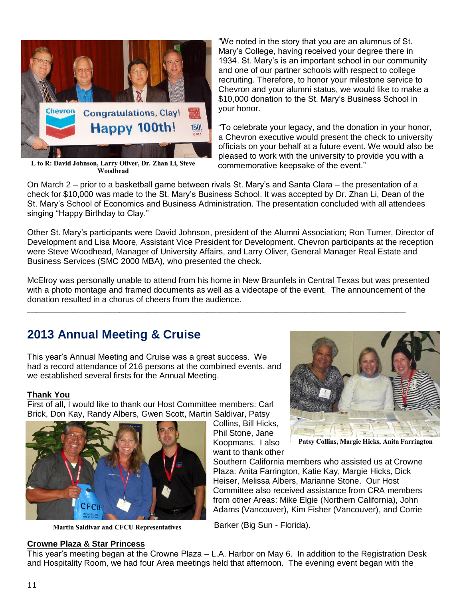

**L to R: David Johnson, Larry Oliver, Dr. Zhan Li, Steve Woodhead**

"We noted in the story that you are an alumnus of St. Mary's College, having received your degree there in 1934. St. Mary's is an important school in our community and one of our partner schools with respect to college recruiting. Therefore, to honor your milestone service to Chevron and your alumni status, we would like to make a \$10,000 donation to the St. Mary's Business School in your honor.

"To celebrate your legacy, and the donation in your honor, a Chevron executive would present the check to university officials on your behalf at a future event. We would also be pleased to work with the university to provide you with a commemorative keepsake of the event."

On March 2 – prior to a basketball game between rivals St. Mary's and Santa Clara – the presentation of a check for \$10,000 was made to the St. Mary's Business School. It was accepted by Dr. Zhan Li, Dean of the St. Mary's School of Economics and Business Administration. The presentation concluded with all attendees singing "Happy Birthday to Clay."

Other St. Mary's participants were David Johnson, president of the Alumni Association; Ron Turner, Director of Development and Lisa Moore, Assistant Vice President for Development. Chevron participants at the reception were Steve Woodhead, Manager of University Affairs, and Larry Oliver, General Manager Real Estate and Business Services (SMC 2000 MBA), who presented the check.

McElroy was personally unable to attend from his home in New Braunfels in Central Texas but was presented with a photo montage and framed documents as well as a videotape of the event. The announcement of the donation resulted in a chorus of cheers from the audience.

**\_\_\_\_\_\_\_\_\_\_\_\_\_\_\_\_\_\_\_\_\_\_\_\_\_\_\_\_\_\_\_\_\_\_\_\_\_\_\_\_\_\_\_\_\_\_\_\_\_\_\_\_\_\_\_\_\_\_\_\_\_\_\_\_\_\_\_\_\_\_\_\_\_\_\_\_\_\_\_\_\_\_**

# **2013 Annual Meeting & Cruise**

This year's Annual Meeting and Cruise was a great success. We had a record attendance of 216 persons at the combined events, and we established several firsts for the Annual Meeting.

#### **Thank You**

First of all, I would like to thank our Host Committee members: Carl Brick, Don Kay, Randy Albers, Gwen Scott, Martin Saldivar, Patsy



**Martin Saldivar and CFCU Representatives**

# Collins, Bill Hicks, Phil Stone, Jane Koopmans. I also want to thank other

**Patsy Collins, Margie Hicks, Anita Farrington**

Southern California members who assisted us at Crowne Plaza: Anita Farrington, Katie Kay, Margie Hicks, Dick Heiser, Melissa Albers, Marianne Stone. Our Host Committee also received assistance from CRA members from other Areas: Mike Elgie (Northern California), John Adams (Vancouver), Kim Fisher (Vancouver), and Corrie

Barker (Big Sun - Florida).

**Crowne Plaza & Star Princess** This year's meeting began at the Crowne Plaza – L.A. Harbor on May 6. In addition to the Registration Desk and Hospitality Room, we had four Area meetings held that afternoon. The evening event began with the

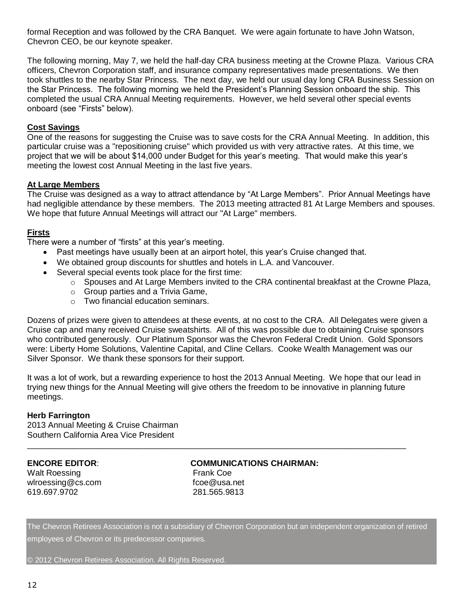formal Reception and was followed by the CRA Banquet. We were again fortunate to have John Watson, Chevron CEO, be our keynote speaker.

The following morning, May 7, we held the half-day CRA business meeting at the Crowne Plaza. Various CRA officers, Chevron Corporation staff, and insurance company representatives made presentations. We then took shuttles to the nearby Star Princess. The next day, we held our usual day long CRA Business Session on the Star Princess. The following morning we held the President's Planning Session onboard the ship. This completed the usual CRA Annual Meeting requirements. However, we held several other special events onboard (see "Firsts" below).

#### **Cost Savings**

One of the reasons for suggesting the Cruise was to save costs for the CRA Annual Meeting. In addition, this particular cruise was a "repositioning cruise" which provided us with very attractive rates. At this time, we project that we will be about \$14,000 under Budget for this year's meeting. That would make this year's meeting the lowest cost Annual Meeting in the last five years.

#### **At Large Members**

The Cruise was designed as a way to attract attendance by "At Large Members". Prior Annual Meetings have had negligible attendance by these members. The 2013 meeting attracted 81 At Large Members and spouses. We hope that future Annual Meetings will attract our "At Large" members.

#### **Firsts**

There were a number of "firsts" at this year's meeting.

- Past meetings have usually been at an airport hotel, this year's Cruise changed that.
- We obtained group discounts for shuttles and hotels in L.A. and Vancouver.
- Several special events took place for the first time:
	- o Spouses and At Large Members invited to the CRA continental breakfast at the Crowne Plaza,
	- o Group parties and a Trivia Game,
	- o Two financial education seminars.

Dozens of prizes were given to attendees at these events, at no cost to the CRA. All Delegates were given a Cruise cap and many received Cruise sweatshirts. All of this was possible due to obtaining Cruise sponsors who contributed generously. Our Platinum Sponsor was the Chevron Federal Credit Union. Gold Sponsors were: Liberty Home Solutions, Valentine Capital, and Cline Cellars. Cooke Wealth Management was our Silver Sponsor. We thank these sponsors for their support.

It was a lot of work, but a rewarding experience to host the 2013 Annual Meeting. We hope that our lead in trying new things for the Annual Meeting will give others the freedom to be innovative in planning future meetings.

#### **Herb Farrington**

2013 Annual Meeting & Cruise Chairman Southern California Area Vice President

Walt Roessing **Frank Coe** wlroessing@cs.com fcoe@usa.net 619.697.9702 281.565.9813

#### **ENCORE EDITOR**: **COMMUNICATIONS CHAIRMAN:**

\_\_\_\_\_\_\_\_\_\_\_\_\_\_\_\_\_\_\_\_\_\_\_\_\_\_\_\_\_\_\_\_\_\_\_\_\_\_\_\_\_\_\_\_\_\_\_\_\_\_\_\_\_\_\_\_\_\_\_\_\_\_\_\_\_\_\_\_\_\_\_\_\_\_\_\_\_\_\_\_\_\_

The Chevron Retirees Association is not a subsidiary of Chevron Corporation but an independent organization of retired employees of Chevron or its predecessor companies.

© 2012 Chevron Retirees Association. All Rights Reserved.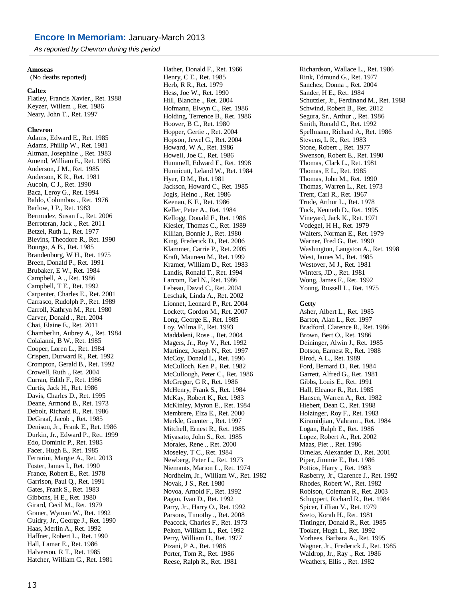*As reported by Chevron during this period*

#### **Amoseas**

(No deaths reported)

#### **Caltex**

Flatley, Francis Xavier., Ret. 1988 Keyzer, Willem ., Ret. 1986 Neary, John T., Ret. 1997

#### **Chevron**

Adams, Edward E., Ret. 1985 Adams, Phillip W., Ret. 1981 Altman, Josephine ., Ret. 1983 Amend, William E., Ret. 1985 Anderson, J M., Ret. 1985 Anderson, K R., Ret. 1981 Aucoin, C J., Ret. 1990 Baca, Leroy G., Ret. 1994 Baldo, Columbus ., Ret. 1976 Barlow, J P., Ret. 1983 Bermudez, Susan L., Ret. 2006 Berroteran, Jack ., Ret. 2011 Betzel, Ruth L., Ret. 1977 Blevins, Theodore R., Ret. 1990 Bourgo, A B., Ret. 1985 Brandenburg, W H., Ret. 1975 Breen, Donald P., Ret. 1991 Brubaker, E W., Ret. 1984 Campbell, A ., Ret. 1986 Campbell, T E., Ret. 1992 Carpenter, Charles E., Ret. 2001 Carrasco, Rudolph P., Ret. 1989 Carroll, Kathryn M., Ret. 1980 Carver, Donald ., Ret. 2004 Chai, Elaine E., Ret. 2011 Chamberlin, Aubrey A., Ret. 1984 Colaianni, B W., Ret. 1985 Cooper, Loren L., Ret. 1984 Crispen, Durward R., Ret. 1992 Crompton, Gerald B., Ret. 1992 Crowell, Ruth ., Ret. 2004 Curran, Edith F., Ret. 1986 Curtis, Jack H., Ret. 1986 Davis, Charles D., Ret. 1995 Deane, Armond B., Ret. 1973 Debolt, Richard R., Ret. 1986 DeGraaf, Jacob ., Ret. 1985 Denison, Jr., Frank E., Ret. 1986 Durkin, Jr., Edward P., Ret. 1999 Edo, Dominic P., Ret. 1985 Facer, Hugh E., Ret. 1985 Ferrarini, Margie A., Ret. 2013 Foster, James I., Ret. 1990 France, Robert E., Ret. 1978 Garrison, Paul Q., Ret. 1991 Gates, Frank S., Ret. 1983 Gibbons, H E., Ret. 1980 Girard, Cecil M., Ret. 1979 Graner, Wyman W., Ret. 1992 Guidry, Jr., George J., Ret. 1990 Haas, Merlin A., Ret. 1992 Haffner, Robert L., Ret. 1990 Hall, Lamar E., Ret. 1986 Halverson, R T., Ret. 1985 Hatcher, William G., Ret. 1981

Hather, Donald F., Ret. 1966 Henry, C E., Ret. 1985 Herb, R R., Ret. 1979 Hess, Joe W., Ret. 1990 Hill, Blanche ., Ret. 2004 Hofmann, Elwyn C., Ret. 1986 Holding, Terrence B., Ret. 1986 Hoover, B C., Ret. 1980 Hopper, Gertie ., Ret. 2004 Hopson, Jewel G., Ret. 2004 Howard, W A., Ret. 1986 Howell, Joe C., Ret. 1986 Hummell, Edward E., Ret. 1998 Hunnicutt, Leland W., Ret. 1984 Hyer, D M., Ret. 1981 Jackson, Howard C., Ret. 1985 Jogis, Heino ., Ret. 1986 Keenan, K F., Ret. 1986 Keller, Peter A., Ret. 1984 Kellogg, Donald F., Ret. 1986 Kiesler, Thomas C., Ret. 1989 Killian, Bonnie J., Ret. 1980 King, Frederick D., Ret. 2006 Klammer, Carrie P., Ret. 2005 Kraft, Maureen M., Ret. 1999 Kramer, William D., Ret. 1983 Landis, Ronald T., Ret. 1994 Larcom, Earl N., Ret. 1986 Lebeau, David C., Ret. 2004 Leschak, Linda A., Ret. 2002 Lionnet, Leonard P., Ret. 2004 Lockett, Gordon M., Ret. 2007 Long, George E., Ret. 1985 Loy, Wilma F., Ret. 1993 Maddaleni, Rose ., Ret. 2004 Magers, Jr., Roy V., Ret. 1992 Martinez, Joseph N., Ret. 1997 McCoy, Donald L., Ret. 1996 McCulloch, Ken P., Ret. 1982 McCullough, Peter C., Ret. 1986 McGregor, G R., Ret. 1986 McHenry, Frank S., Ret. 1984 McKay, Robert K., Ret. 1983 McKinley, Myron E., Ret. 1984 Membrere, Elza E., Ret. 2000 Merkle, Guenter ., Ret. 1997 Mitchell, Ernest R., Ret. 1985 Miyasato, John S., Ret. 1985 Morales, Rene ., Ret. 2000 Moseley, T C., Ret. 1984 Newberg, Peter L., Ret. 1973 Niemants, Marion L., Ret. 1974 Nordheim, Jr., William W., Ret. 1982 Novak, J S., Ret. 1980 Novoa, Arnold F., Ret. 1992 Pagan, Ivan D., Ret. 1992 Parry, Jr., Harry O., Ret. 1992 Parsons, Timothy ., Ret. 2008 Peacock, Charles F., Ret. 1973 Pelton, William L., Ret. 1992 Perry, William D., Ret. 1977 Pizani, P A., Ret. 1986 Porter, Tom R., Ret. 1986 Reese, Ralph R., Ret. 1981

Richardson, Wallace L., Ret. 1986 Rink, Edmund G., Ret. 1977 Sanchez, Donna ., Ret. 2004 Sander, H E., Ret. 1984 Schutzler, Jr., Ferdinand M., Ret. 1988 Schwind, Robert B., Ret. 2012 Segura, Sr., Arthur ., Ret. 1986 Smith, Ronald C., Ret. 1992 Spellmann, Richard A., Ret. 1986 Stevens, L R., Ret. 1983 Stone, Robert ., Ret. 1977 Swenson, Robert E., Ret. 1990 Thomas, Clark L., Ret. 1981 Thomas, E L., Ret. 1985 Thomas, John M., Ret. 1990 Thomas, Warren L., Ret. 1973 Trent, Carl R., Ret. 1967 Trude, Arthur L., Ret. 1978 Tuck, Kenneth D., Ret. 1995 Vineyard, Jack K., Ret. 1971 Vodegel, H H., Ret. 1979 Walters, Norman E., Ret. 1979 Warner, Fred G., Ret. 1990 Washington, Langston A., Ret. 1998 West, James M., Ret. 1985 Westover, M J., Ret. 1981 Winters, JD ., Ret. 1981 Wong, James F., Ret. 1992 Young, Russell L., Ret. 1975

#### **Getty**

Asher, Albert L., Ret. 1985 Barton, Alan L., Ret. 1997 Bradford, Clarence R., Ret. 1986 Brown, Bert O., Ret. 1986 Deininger, Alwin J., Ret. 1985 Dotson, Earnest R., Ret. 1988 Elrod, A L., Ret. 1989 Ford, Bernard D., Ret. 1984 Garrett, Alfred G., Ret. 1981 Gibbs, Louis E., Ret. 1991 Hall, Eleanor R., Ret. 1985 Hansen, Warren A., Ret. 1982 Hiebert, Dean C., Ret. 1988 Holzinger, Roy F., Ret. 1983 Kiramidjian, Vahram ., Ret. 1984 Logan, Ralph E., Ret. 1986 Lopez, Robert A., Ret. 2002 Maas, Piet ., Ret. 1986 Ornelas, Alexander D., Ret. 2001 Piper, Jimmie E., Ret. 1986 Pottios, Harry ., Ret. 1983 Rasberry, Jr., Clarence J., Ret. 1992 Rhodes, Robert W., Ret. 1982 Robison, Coleman R., Ret. 2003 Schuppert, Richard R., Ret. 1984 Spicer, Lillian V., Ret. 1979 Szeto, Korah H., Ret. 1981 Tintinger, Donald R., Ret. 1985 Tooker, Hugh L., Ret. 1992 Vorhees, Barbara A., Ret. 1995 Wagner, Jr., Frederick J., Ret. 1985 Waldrop, Jr., Ray ., Ret. 1986 Weathers, Ellis ., Ret. 1982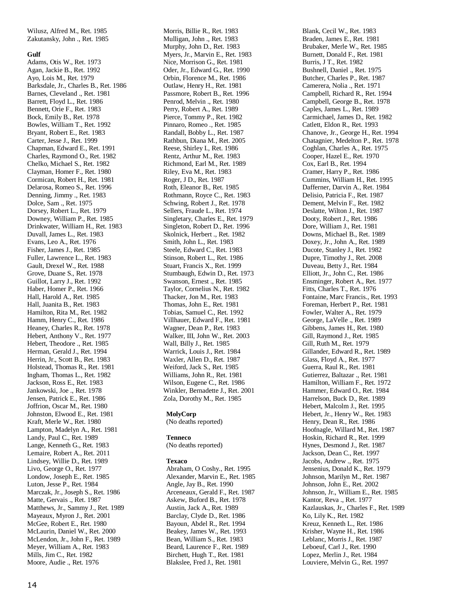Wilusz, Alfred M., Ret. 1985 Zakutansky, John ., Ret. 1985

#### **Gulf**

Adams, Otis W., Ret. 1973 Agan, Jackie B., Ret. 1992 Ayo, Lois M., Ret. 1979 Barksdale, Jr., Charles B., Ret. 1986 Barnes, Cleveland ., Ret. 1981 Barrett, Floyd L., Ret. 1986 Bennett, Orie F., Ret. 1983 Bock, Emily B., Ret. 1978 Bowles, William T., Ret. 1992 Bryant, Robert E., Ret. 1983 Carter, Jesse J., Ret. 1999 Chapman, Edward E., Ret. 1991 Charles, Raymond O., Ret. 1982 Chelko, Michael S., Ret. 1982 Clayman, Homer F., Ret. 1980 Cormican, Robert H., Ret. 1981 Delarosa, Romeo S., Ret. 1996 Denning, Jimmy ., Ret. 1983 Dolce, Sam ., Ret. 1975 Dorsey, Robert L., Ret. 1979 Downey, William P., Ret. 1985 Drinkwater, William H., Ret. 1983 Duvall, James L., Ret. 1983 Evans, Leo A., Ret. 1976 Fisher, James J., Ret. 1985 Fuller, Lawrence L., Ret. 1983 Gault, Drexel W., Ret. 1988 Grove, Duane S., Ret. 1978 Guillot, Larry J., Ret. 1992 Haber, Homer P., Ret. 1966 Hall, Harold A., Ret. 1985 Hall, Juanita B., Ret. 1983 Hamilton, Rita M., Ret. 1982 Hamm, Henry C., Ret. 1986 Heaney, Charles R., Ret. 1978 Hebert, Anthony V., Ret. 1977 Hebert, Theodore ., Ret. 1985 Herman, Gerald J., Ret. 1994 Herrin, Jr., Scott B., Ret. 1983 Holstead, Thomas R., Ret. 1981 Ingham, Thomas L., Ret. 1982 Jackson, Ross E., Ret. 1983 Jankowski, Joe ., Ret. 1978 Jensen, Patrick E., Ret. 1986 Joffrion, Oscar M., Ret. 1980 Johnston, Elwood E., Ret. 1981 Kraft, Merle W., Ret. 1980 Lampton, Madelyn A., Ret. 1981 Landy, Paul C., Ret. 1989 Lange, Kenneth G., Ret. 1983 Lemaire, Robert A., Ret. 2011 Lindsey, Willie D., Ret. 1989 Livo, George O., Ret. 1977 Londow, Joseph E., Ret. 1985 Luton, Jesse P., Ret. 1984 Marczak, Jr., Joseph S., Ret. 1986 Matte, Gervais ., Ret. 1987 Matthews, Jr., Sammy J., Ret. 1989 Mayeaux, Myron J., Ret. 2001 McGee, Robert E., Ret. 1980 McLaurin, Daniel W., Ret. 2000 McLendon, Jr., John F., Ret. 1989 Meyer, William A., Ret. 1983 Mills, Jim C., Ret. 1982 Moore, Audie ., Ret. 1976

Morris, Billie R., Ret. 1983 Mulligan, John ., Ret. 1983 Murphy, John D., Ret. 1983 Myers, Jr., Marvin E., Ret. 1983 Nice, Morrison G., Ret. 1981 Oder, Jr., Edward G., Ret. 1990 Orbin, Florence M., Ret. 1986 Outlaw, Henry H., Ret. 1981 Passmore, Robert B., Ret. 1996 Penrod, Melvin ., Ret. 1980 Perry, Robert A., Ret. 1989 Pierce, Tommy P., Ret. 1982 Pinnaro, Romeo ., Ret. 1985 Randall, Bobby L., Ret. 1987 Rathbun, Diana M., Ret. 2005 Reese, Shirley I., Ret. 1986 Rentz, Arthur M., Ret. 1983 Richmond, Earl M., Ret. 1989 Riley, Eva M., Ret. 1983 Roger, J D., Ret. 1987 Roth, Eleanor B., Ret. 1985 Rothmann, Royce C., Ret. 1983 Schwing, Robert J., Ret. 1978 Sellers, Fraude L., Ret. 1974 Singletary, Charles E., Ret. 1979 Singleton, Robert D., Ret. 1996 Skolnick, Herbert ., Ret. 1982 Smith, John L., Ret. 1983 Steele, Edward C., Ret. 1983 Stinson, Robert L., Ret. 1986 Stuart, Francis X., Ret. 1999 Stumbaugh, Edwin D., Ret. 1973 Swanson, Ernest ., Ret. 1985 Taylor, Cornelius N., Ret. 1982 Thacker, Jon M., Ret. 1983 Thomas, John E., Ret. 1981 Tobias, Samuel C., Ret. 1992 Villhauer, Edward F., Ret. 1981 Wagner, Dean P., Ret. 1983 Walker, III, John W., Ret. 2003 Wall, Billy J., Ret. 1985 Warrick, Louis J., Ret. 1984 Waxler, Allen D., Ret. 1987 Weiford, Jack S., Ret. 1985 Williams, John R., Ret. 1981 Wilson, Eugene C., Ret. 1986 Winkler, Bernadette J., Ret. 2001 Zola, Dorothy M., Ret. 1985

#### **MolyCorp**

(No deaths reported)

#### **Tenneco**

(No deaths reported)

#### **Texaco**

Abraham, O Coshy., Ret. 1995 Alexander, Marvin E., Ret. 1985 Angle, Jay B., Ret. 1990 Arceneaux, Gerald F., Ret. 1987 Askew, Buford B., Ret. 1978 Austin, Jack A., Ret. 1989 Barclay, Clyde D., Ret. 1986 Bayoun, Abdel R., Ret. 1994 Beakey, James W., Ret. 1993 Bean, William S., Ret. 1983 Beard, Laurence F., Ret. 1989 Birchett, Hugh T., Ret. 1981 Blakslee, Fred J., Ret. 1981

Blank, Cecil W., Ret. 1983 Braden, James E., Ret. 1981 Brubaker, Merle W., Ret. 1985 Burnett, Donald F., Ret. 1981 Burris, J T., Ret. 1982 Bushnell, Daniel ., Ret. 1975 Butcher, Charles P., Ret. 1987 Camerera, Nolia ., Ret. 1971 Campbell, Richard R., Ret. 1994 Campbell, George B., Ret. 1978 Caples, James L., Ret. 1989 Carmichael, James D., Ret. 1982 Catlett, Eldon R., Ret. 1993 Chanove, Jr., George H., Ret. 1994 Chatagnier, Medelton P., Ret. 1978 Coghlan, Charles A., Ret. 1975 Cooper, Hazel E., Ret. 1970 Cox, Earl B., Ret. 1994 Cramer, Harry P., Ret. 1986 Cummins, William H., Ret. 1995 Dafferner, Darvin A., Ret. 1984 Delisio, Patricia F., Ret. 1987 Dement, Melvin F., Ret. 1982 Deslatte, Wilton J., Ret. 1987 Dooty, Robert J., Ret. 1986 Dore, William J., Ret. 1981 Downs, Michael B., Ret. 1989 Doxey, Jr., John A., Ret. 1989 Ducote, Stanley J., Ret. 1982 Dupre, Timothy J., Ret. 2008 Duveau, Betty J., Ret. 1984 Elliott, Jr., John C., Ret. 1986 Ensminger, Robert A., Ret. 1977 Fitts, Charles T., Ret. 1976 Fontaine, Marc Francis., Ret. 1993 Foreman, Herbert P., Ret. 1981 Fowler, Walter A., Ret. 1979 George, LaVelle ., Ret. 1989 Gibbens, James H., Ret. 1980 Gill, Raymond J., Ret. 1985 Gill, Ruth M., Ret. 1979 Gillander, Edward R., Ret. 1989 Glass, Floyd A., Ret. 1977 Guerra, Raul R., Ret. 1981 Gutierrez, Baltazar ., Ret. 1981 Hamilton, William F., Ret. 1972 Hammer, Edward O., Ret. 1984 Harrelson, Buck D., Ret. 1989 Hebert, Malcolm J., Ret. 1995 Hebert, Jr., Henry W., Ret. 1983 Henry, Dean R., Ret. 1986 Hoofnagle, Willard M., Ret. 1987 Hoskin, Richard R., Ret. 1999 Hynes, Desmond J., Ret. 1987 Jackson, Dean C., Ret. 1997 Jacobs, Andrew ., Ret. 1975 Jensenius, Donald K., Ret. 1979 Johnson, Marilyn M., Ret. 1987 Johnson, John E., Ret. 2002 Johnson, Jr., William E., Ret. 1985 Kantor, Reva ., Ret. 1977 Kazlauskas, Jr., Charles F., Ret. 1989 Ko, Lily K., Ret. 1982 Kreuz, Kenneth L., Ret. 1986 Krisher, Wayne H., Ret. 1986 Leblanc, Morris J., Ret. 1987 Leboeuf, Carl J., Ret. 1990 Lopez, Merlin J., Ret. 1984 Louviere, Melvin G., Ret. 1997